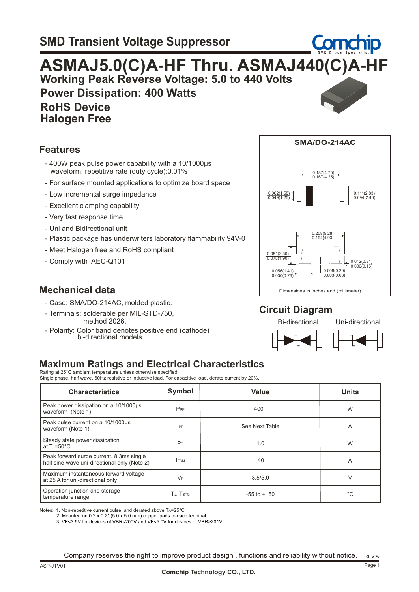

#### **Features**

- 400W peak pulse power capability with a 10/1000µs waveform, repetitive rate (duty cycle):0.01%
- For surface mounted applications to optimize board space
- Low incremental surge impedance
- Excellent clamping capability
- Very fast response time
- Uni and Bidirectional unit
- Plastic package has underwriters laboratory flammability 94V-0
- Meet Halogen free and RoHS compliant
- Comply with AEC-Q101

#### **Mechanical data**

- Case: SMA/DO-214AC, molded plastic.
- Terminals: solderable per MIL-STD-750, method 2026.
- Polarity: Color band denotes positive end (cathode) bi-directional models



#### **Circuit Diagram**

Bi-directional Uni-directional





### **Maximum Ratings and Electrical Characteristics**

Rating at 25°C ambient temperature unless otherwise specified. Single phase, half wave, 60Hz resistive or inductive load. For capacitive load, derate current by 20%.

| <b>Characteristics</b>                                                                   | Symbol         | Value           | <b>Units</b> |
|------------------------------------------------------------------------------------------|----------------|-----------------|--------------|
| Peak power dissipation on a 10/1000us<br>waveform (Note 1)                               | $P_{PP}$       | 400             | W            |
| Peak pulse current on a 10/1000us<br>waveform (Note 1)                                   | $_{\rm lPP}$   | See Next Table  | Α            |
| Steady state power dissipation<br>at $T_{L} = 50^{\circ}C$                               | P <sub>D</sub> | 1.0             | W            |
| Peak forward surge current, 8.3ms single<br>half sine-wave uni-directional only (Note 2) | <b>IFSM</b>    | 40              | Α            |
| Maximum instantaneous forward voltage<br>at 25 A for uni-directional only                | $V_F$          | 3.5/5.0         | V            |
| Operation junction and storage<br>temperature range                                      | TJ, TSTG       | $-55$ to $+150$ | $^{\circ}C$  |

Notes: 1. Non-repetitive current pulse, and derated above TA=25°C

 3. VF<3.5V for devices of VBR<200V and VF<5.0V for devices of VBR>201V 2. Mounted on 0.2 x 0.2" (5.0 x 5.0 mm) copper pads to each terminal

REV:A Company reserves the right to improve product design , functions and reliability without notice.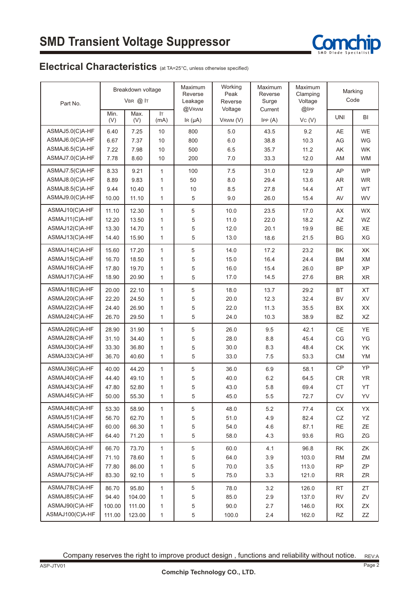

## Electrical Characteristics (at TA=25°C, unless otherwise specified)

| Part No.        |             | Breakdown voltage<br>VBR @ IT |              | Maximum<br>Reverse<br>Leakage | Working<br>Peak<br>Reverse | Maximum<br>Reverse<br>Surge | Maximum<br>Clamping<br>Voltage |                        | Marking<br>Code                                                                                         |  |
|-----------------|-------------|-------------------------------|--------------|-------------------------------|----------------------------|-----------------------------|--------------------------------|------------------------|---------------------------------------------------------------------------------------------------------|--|
|                 | Min.<br>(V) | Max.<br>(V)                   | IT.<br>(mA)  | @VRWM<br>IR $(\mu A)$         | Voltage<br>VRWM (V)        | Current<br>IPP(A)           | @IPP<br>Vc(V)                  | <b>UNI</b>             | BI                                                                                                      |  |
| ASMAJ5.0(C)A-HF | 6.40        | 7.25                          | 10           | 800                           | 5.0                        | 43.5                        | 9.2                            | AE                     | <b>WE</b>                                                                                               |  |
| ASMAJ6.0(C)A-HF | 6.67        | 7.37                          | 10           | 800                           | 6.0                        | 38.8                        | 10.3                           | AG                     | WG                                                                                                      |  |
| ASMAJ6.5(C)A-HF | 7.22        | 7.98                          | 10           | 500                           | 6.5                        | 35.7                        | 11.2                           | AK                     | <b>WK</b>                                                                                               |  |
| ASMAJ7.0(C)A-HF | 7.78        | 8.60                          | 10           | 200                           | 7.0                        | 33.3                        | 12.0                           | AM                     | <b>WM</b>                                                                                               |  |
| ASMAJ7.5(C)A-HF | 8.33        | 9.21                          | 1            | 100                           | 7.5                        | 31.0                        | 12.9                           | AP                     | <b>WP</b>                                                                                               |  |
| ASMAJ8.0(C)A-HF | 8.89        | 9.83                          | 1            | 50                            | 8.0                        | 29.4                        | 13.6                           | <b>AR</b>              | <b>WR</b>                                                                                               |  |
| ASMAJ8.5(C)A-HF | 9.44        | 10.40                         | 1            | 10                            | 8.5                        | 27.8                        | 14.4                           | AT                     | WT                                                                                                      |  |
| ASMAJ9.0(C)A-HF | 10.00       | 11.10                         | $\mathbf{1}$ | 5                             | 9.0                        | 26.0                        | 15.4                           | AV                     | <b>WV</b>                                                                                               |  |
| ASMAJ10(C)A-HF  | 11.10       | 12.30                         | $\mathbf{1}$ | 5                             | 10.0                       | 23.5                        | 17.0                           | AX                     | <b>WX</b>                                                                                               |  |
| ASMAJ11(C)A-HF  | 12.20       | 13.50                         | $\mathbf{1}$ | 5                             | 11.0                       | 22.0                        | 18.2                           | AZ                     | WZ                                                                                                      |  |
| ASMAJ12(C)A-HF  | 13.30       | 14.70                         | $\mathbf{1}$ | 5                             | 12.0                       | 20.1                        | 19.9                           | <b>BE</b>              | XE                                                                                                      |  |
| ASMAJ13(C)A-HF  | 14.40       | 15.90                         | $\mathbf{1}$ | $\,$ 5 $\,$                   | 13.0                       | 18.6                        | 21.5                           | <b>BG</b>              | XG                                                                                                      |  |
| ASMAJ14(C)A-HF  | 15.60       | 17.20                         | $\mathbf{1}$ | 5                             | 14.0                       | 17.2                        | 23.2                           | BK                     | XK                                                                                                      |  |
| ASMAJ15(C)A-HF  | 16.70       | 18.50                         | $\mathbf{1}$ | 5                             | 15.0                       | 16.4                        | 24.4                           | <b>BM</b>              | XM                                                                                                      |  |
| ASMAJ16(C)A-HF  | 17.80       | 19.70                         | $\mathbf{1}$ | 5                             | 16.0                       | 15.4                        | 26.0                           | <b>BP</b>              | XP                                                                                                      |  |
| ASMAJ17(C)A-HF  | 18.90       | 20.90                         | $\mathbf{1}$ | 5                             | 17.0                       | 14.5                        | 27.6                           | <b>BR</b>              | <b>XR</b>                                                                                               |  |
| ASMAJ18(C)A-HF  | 20.00       | 22.10                         | $\mathbf{1}$ | 5                             | 18.0                       | 13.7                        | 29.2                           | <b>BT</b>              | XT                                                                                                      |  |
| ASMAJ20(C)A-HF  | 22.20       | 24.50                         | 1            | 5                             | 20.0                       | 12.3                        | 32.4                           | <b>BV</b>              | XV                                                                                                      |  |
| ASMAJ22(C)A-HF  | 24.40       | 26.90                         | 1            | 5                             | 22.0                       | 11.3                        | 35.5                           | <b>BX</b>              | XX                                                                                                      |  |
| ASMAJ24(C)A-HF  | 26.70       | 29.50                         | $\mathbf{1}$ | 5                             | 24.0                       | 10.3                        | 38.9                           | <b>BZ</b>              | XZ                                                                                                      |  |
| ASMAJ26(C)A-HF  | 28.90       | 31.90                         | $\mathbf{1}$ | 5                             | 26.0                       | 9.5                         | 42.1                           | <b>CE</b>              | YE                                                                                                      |  |
| ASMAJ28(C)A-HF  | 31.10       | 34.40                         | $\mathbf{1}$ | 5                             | 28.0                       | 8.8                         | 45.4                           | CG                     | YG                                                                                                      |  |
| ASMAJ30(C)A-HF  | 33.30       | 36.80                         | $\mathbf{1}$ | 5                             | 30.0                       | 8.3                         | 48.4                           | <b>CK</b>              | YK                                                                                                      |  |
| ASMAJ33(C)A-HF  | 36.70       | 40.60                         | $\mathbf{1}$ | $\sqrt{5}$                    | 33.0                       | 7.5                         | 53.3                           | <b>CM</b>              | YM                                                                                                      |  |
| ASMAJ36(C)A-HF  | 40.00       | 44.20                         | $\mathbf{1}$ | 5                             | 36.0                       | 6.9                         | 58.1                           | <b>CP</b>              | YP                                                                                                      |  |
| ASMAJ40(C)A-HF  | 44.40       | 49.10                         | $\mathbf{1}$ | 5                             | 40.0                       | 6.2                         | 64.5                           | CR                     | <b>YR</b>                                                                                               |  |
| ASMAJ43(C)A-HF  | 47.80       | 52.80                         | 1            | 5                             | 43.0                       | 5.8                         | 69.4                           | CT                     | YT                                                                                                      |  |
| ASMAJ45(C)A-HF  | 50.00       | 55.30                         | 1            | 5                             | 45.0                       | 5.5                         | 72.7                           | ${\sf CV}$             | YV                                                                                                      |  |
| ASMAJ48(C)A-HF  | 53.30       | 58.90                         | 1            | 5                             | 48.0                       | 5.2                         | 77.4                           | СX                     | YX                                                                                                      |  |
| ASMAJ51(C)A-HF  | 56.70       | 62.70                         | 1            | 5                             | 51.0                       | 4.9                         | 82.4                           | ${\tt CZ}$             | YZ                                                                                                      |  |
| ASMAJ54(C)A-HF  | 60.00       | 66.30                         | 1            | 5                             | 54.0                       | 4.6                         | 87.1                           | $\mathsf{RE}$          | ΖE                                                                                                      |  |
| ASMAJ58(C)A-HF  | 64.40       | 71.20                         | $\mathbf{1}$ | $\,$ 5 $\,$                   | 58.0                       | 4.3                         | 93.6                           | RG                     | $\mathsf{ZG}% _{\mathsf{C}}^{\mathsf{C}}(\mathsf{G})=\mathsf{ZG}_{\mathsf{C}}^{\mathsf{C}}(\mathsf{G})$ |  |
| ASMAJ60(C)A-HF  | 66.70       | 73.70                         | $\mathbf{1}$ | 5                             | 60.0                       | 4.1                         | 96.8                           | RK                     | ZK                                                                                                      |  |
| ASMAJ64(C)A-HF  | 71.10       | 78.60                         | 1            | 5                             | 64.0                       | $3.9\,$                     | 103.0                          | <b>RM</b>              | ZM                                                                                                      |  |
| ASMAJ70(C)A-HF  | 77.80       | 86.00                         | 1            | 5                             | 70.0                       | $3.5\,$                     | 113.0                          | ${\sf RP}$             | ZΡ                                                                                                      |  |
| ASMAJ75(C)A-HF  | 83.30       | 92.10                         | 1            | $\,$ 5 $\,$                   | 75.0                       | 3.3                         | 121.0                          | <b>RR</b>              | ZR                                                                                                      |  |
| ASMAJ78(C)A-HF  | 86.70       | 95.80                         | 1            | 5                             | 78.0                       | $3.2\,$                     | 126.0                          | <b>RT</b>              | ZT                                                                                                      |  |
| ASMAJ85(C)A-HF  | 94.40       | 104.00                        | 1            | 5                             | 85.0                       | $2.9\,$                     | 137.0                          | <b>RV</b>              | ZV                                                                                                      |  |
| ASMAJ90(C)A-HF  | 100.00      | 111.00                        | 1            | 5                             | 90.0                       | 2.7                         | 146.0                          | RX                     | ΖX                                                                                                      |  |
| ASMAJ100(C)A-HF | 111.00      | 123.00                        | 1            | $\,$ 5 $\,$                   | 100.0                      | $2.4\,$                     | 162.0                          | $\mathsf{R}\mathsf{Z}$ | ΖZ                                                                                                      |  |

Company reserves the right to improve product design , functions and reliability without notice. REV:A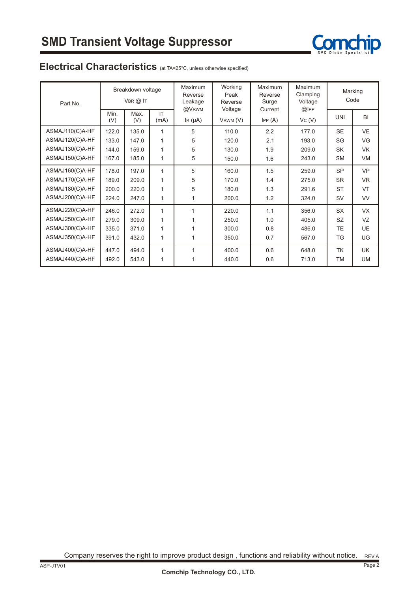

## Electrical Characteristics (at TA=25°C, unless otherwise specified)

| Part No.        |             | Breakdown voltage<br>$V$ BR $(2)$ IT |              | Maximum<br>Reverse<br>Leakage | Working<br>Peak<br>Reverse | <b>Maximum</b><br>Reverse<br>Surge | Maximum<br>Clamping<br>Voltage | Marking<br>Code |           |
|-----------------|-------------|--------------------------------------|--------------|-------------------------------|----------------------------|------------------------------------|--------------------------------|-----------------|-----------|
|                 | Min.<br>(V) | Max.<br>(V)                          | IT.<br>(mA)  | @VRWM<br>IR $(\mu A)$         | Voltage<br>VRWM (V)        | Current<br>IPP(A)                  | @IPP<br>Vc(V)                  | <b>UNI</b>      | BI        |
| ASMAJ110(C)A-HF | 122.0       | 135.0                                | 1            | 5                             | 110.0                      | 2.2                                | 177.0                          | <b>SE</b>       | <b>VE</b> |
| ASMAJ120(C)A-HF | 133.0       | 147.0                                | 1            | 5                             | 120.0                      | 2.1                                | 193.0                          | SG              | VG        |
| ASMAJ130(C)A-HF | 144.0       | 159.0                                | $\mathbf{1}$ | 5                             | 130.0                      | 1.9                                | 209.0                          | SK              | <b>VK</b> |
| ASMAJ150(C)A-HF | 167.0       | 185.0                                | 1            | 5                             | 150.0                      | 1.6                                | 243.0                          | <b>SM</b>       | <b>VM</b> |
| ASMAJ160(C)A-HF | 178.0       | 197.0                                | 1            | 5                             | 160.0                      | 1.5                                | 259.0                          | <b>SP</b>       | <b>VP</b> |
| ASMAJ170(C)A-HF | 189.0       | 209.0                                | 1            | 5                             | 170.0                      | 1.4                                | 275.0                          | <b>SR</b>       | <b>VR</b> |
| ASMAJ180(C)A-HF | 200.0       | 220.0                                | $\mathbf{1}$ | 5                             | 180.0                      | 1.3                                | 291.6                          | <b>ST</b>       | VT        |
| ASMAJ200(C)A-HF | 224.0       | 247.0                                | 1            | $\mathbf{1}$                  | 200.0                      | 1.2                                | 324.0                          | SV              | <b>VV</b> |
| ASMAJ220(C)A-HF | 246.0       | 272.0                                | $\mathbf{1}$ |                               | 220.0                      | 1.1                                | 356.0                          | <b>SX</b>       | <b>VX</b> |
| ASMAJ250(C)A-HF | 279.0       | 309.0                                | 1            |                               | 250.0                      | 1.0                                | 405.0                          | SZ.             | VZ        |
| ASMAJ300(C)A-HF | 335.0       | 371.0                                | $\mathbf{1}$ |                               | 300.0                      | 0.8                                | 486.0                          | TE.             | <b>UE</b> |
| ASMAJ350(C)A-HF | 391.0       | 432.0                                | 1            |                               | 350.0                      | 0.7                                | 567.0                          | TG              | UG        |
| ASMAJ400(C)A-HF | 447.0       | 494.0                                | 1            |                               | 400.0                      | 0.6                                | 648.0                          | TK              | UK.       |
| ASMAJ440(C)A-HF | 492.0       | 543.0                                | 1            |                               | 440.0                      | 0.6                                | 713.0                          | TM              | UM        |

Company reserves the right to improve product design , functions and reliability without notice. REV:A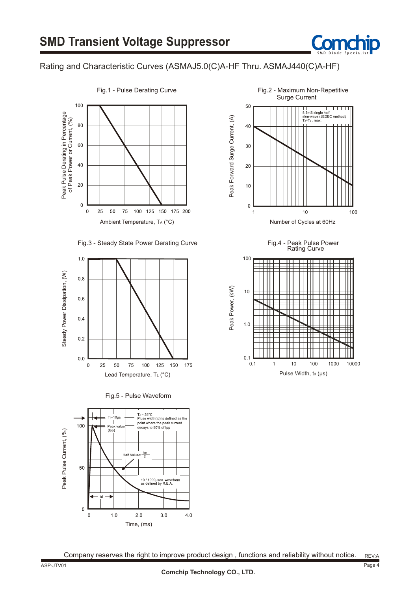

#### Rating and Characteristic Curves (ASMAJ5.0(C)A-HF Thru. ASMAJ440(C)A-HF)













Rating Curve Fig.4 - Peak Pulse Power



Company reserves the right to improve product design, functions and reliability without notice. REV:A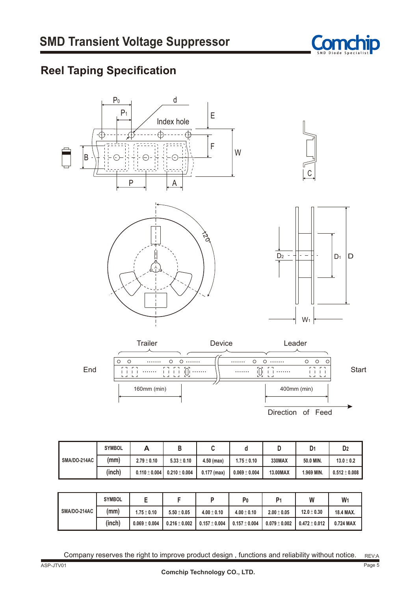

# **Reel Taping Specification**



Direction of Feed

|                     | <b>SYMBOL</b> | A                 | D               |               |                   |          | D <sub>1</sub> | D <sub>2</sub>    |
|---------------------|---------------|-------------------|-----------------|---------------|-------------------|----------|----------------|-------------------|
| <b>SMA/DO-214AC</b> | (mm)          | $2.79 \pm 0.10$   | $5.33 \pm 0.10$ | $4.50$ (max)  | $1.75 \pm 0.10$   | 330MAX   | 50.0 MIN.      | $13.0 \pm 0.2$    |
|                     | (inch)        | $0.110 \pm 0.004$ | $0.210\pm0.004$ | $0.177$ (max) | $0.069 \pm 0.004$ | 13.00MAX | 1.969 MIN.     | $0.512 \pm 0.008$ |

|                     | <b>SYMBOL</b> |                   |                   |                 | P <sub>0</sub>  | P <sub>1</sub>  | W                 | W         |
|---------------------|---------------|-------------------|-------------------|-----------------|-----------------|-----------------|-------------------|-----------|
| <b>SMA/DO-214AC</b> | (mm)          | $1.75 \pm 0.10$   | $5.50 \pm 0.05$   | $4.00 \pm 0.10$ | $4.00 \pm 0.10$ | $2.00 \pm 0.05$ | $12.0 \pm 0.30$   | 18.4 MAX. |
|                     | (inch)        | $0.069 \pm 0.004$ | $0.216 \pm 0.002$ | $0.157\pm0.004$ | $0.157\pm0.004$ | $0.079\pm0.002$ | $0.472 \pm 0.012$ | 0.724 MAX |

Company reserves the right to improve product design, functions and reliability without notice.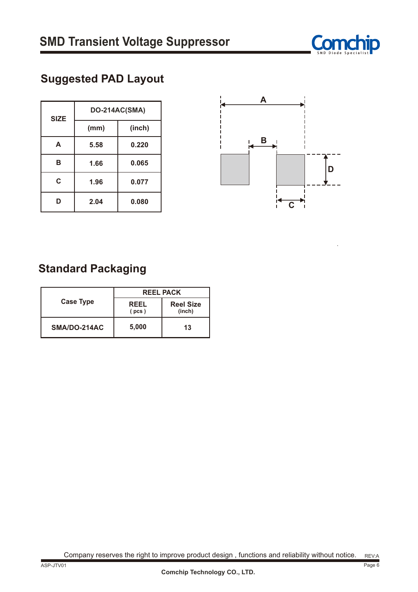

# **Suggested PAD Layout**

| <b>SIZE</b> | DO-214AC(SMA) |        |  |  |  |
|-------------|---------------|--------|--|--|--|
|             | (mm)          | (inch) |  |  |  |
| A           | 5.58          | 0.220  |  |  |  |
| В           | 1.66          | 0.065  |  |  |  |
| C           | 1.96          | 0.077  |  |  |  |
| ח           | 2.04          | 0.080  |  |  |  |



## **Standard Packaging**

|                  | <b>REEL PACK</b>     |                            |  |  |
|------------------|----------------------|----------------------------|--|--|
| <b>Case Type</b> | <b>REEL</b><br>(pcs) | <b>Reel Size</b><br>(inch) |  |  |
| SMA/DO-214AC     | 5,000                | 13                         |  |  |

Company reserves the right to improve product design, functions and reliability without notice.